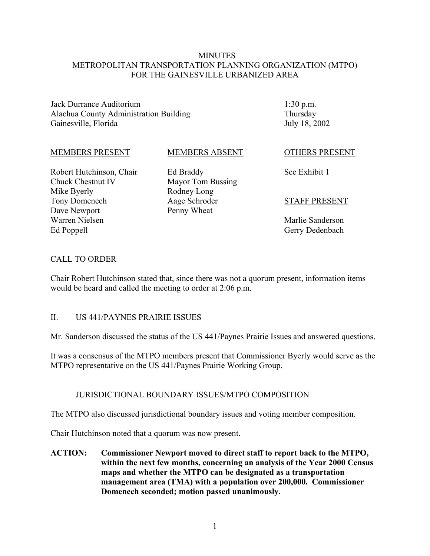#### **MINUTES** METROPOLITAN TRANSPORTATION PLANNING ORGANIZATION (MTPO) FOR THE GAINESVILLE URBANIZED AREA

Jack Durrance Auditorium Alachua County Administration Building Gainesville, Florida

1:30 p.m. Thursday July 18, 2002

#### MEMBERS PRESENT

#### MEMBERS ABSENT

Robert Hutchinson, Chair Chuck Chestnut IV Mike Byerly Tony Domenech Dave Newport Warren Nielsen Ed Poppell

Ed Braddy Mayor Tom Bussing Rodney Long Aage Schroder Penny Wheat

OTHERS PRESENT

See Exhibit 1

#### STAFF PRESENT

Marlie Sanderson Gerry Dedenbach

#### CALL TO ORDER

Chair Robert Hutchinson stated that, since there was not a quorum present, information items would be heard and called the meeting to order at 2:06 p.m.

#### II. US 441/PAYNES PRAIRIE ISSUES

Mr. Sanderson discussed the status of the US 441/Paynes Prairie Issues and answered questions.

It was a consensus of the MTPO members present that Commissioner Byerly would serve as the MTPO representative on the US 441/Paynes Prairie Working Group.

#### JURISDICTIONAL BOUNDARY ISSUES/MTPO COMPOSITION

The MTPO also discussed jurisdictional boundary issues and voting member composition.

Chair Hutchinson noted that a quorum was now present.

**ACTION: Commissioner Newport moved to direct staff to report back to the MTPO, within the next few months, concerning an analysis of the Year 2000 Census maps and whether the MTPO can be designated as a transportation management area (TMA) with a population over 200,000. Commissioner Domenech seconded; motion passed unanimously.**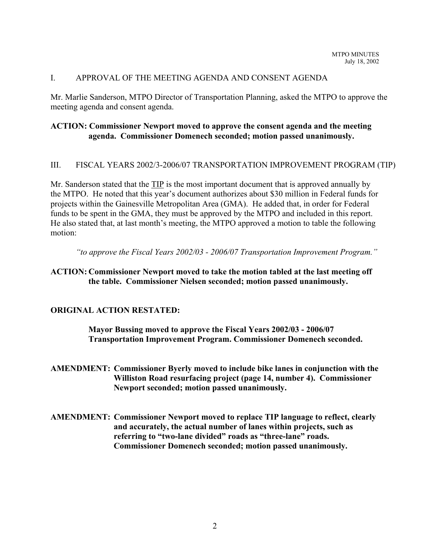### I. APPROVAL OF THE MEETING AGENDA AND CONSENT AGENDA

Mr. Marlie Sanderson, MTPO Director of Transportation Planning, asked the MTPO to approve the meeting agenda and consent agenda.

## **ACTION: Commissioner Newport moved to approve the consent agenda and the meeting agenda. Commissioner Domenech seconded; motion passed unanimously.**

#### III. FISCAL YEARS 2002/3-2006/07 TRANSPORTATION IMPROVEMENT PROGRAM (TIP)

Mr. Sanderson stated that the TIP is the most important document that is approved annually by the MTPO. He noted that this year's document authorizes about \$30 million in Federal funds for projects within the Gainesville Metropolitan Area (GMA). He added that, in order for Federal funds to be spent in the GMA, they must be approved by the MTPO and included in this report. He also stated that, at last month's meeting, the MTPO approved a motion to table the following motion:

*"to approve the Fiscal Years 2002/03 - 2006/07 Transportation Improvement Program."*

#### **ACTION: Commissioner Newport moved to take the motion tabled at the last meeting off the table. Commissioner Nielsen seconded; motion passed unanimously.**

#### **ORIGINAL ACTION RESTATED:**

**Mayor Bussing moved to approve the Fiscal Years 2002/03 - 2006/07 Transportation Improvement Program. Commissioner Domenech seconded.**

**AMENDMENT: Commissioner Byerly moved to include bike lanes in conjunction with the Williston Road resurfacing project (page 14, number 4). Commissioner Newport seconded; motion passed unanimously.**

**AMENDMENT: Commissioner Newport moved to replace TIP language to reflect, clearly and accurately, the actual number of lanes within projects, such as referring to "two-lane divided" roads as "three-lane" roads. Commissioner Domenech seconded; motion passed unanimously.**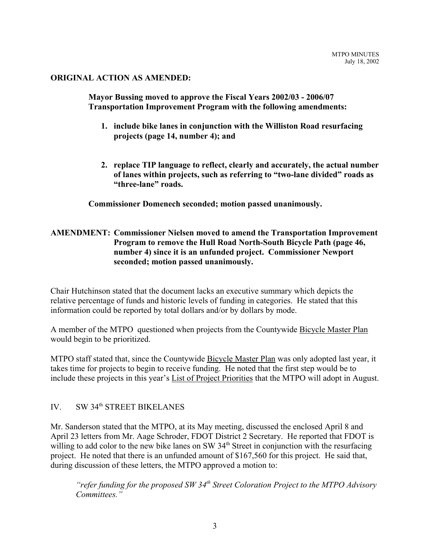#### **ORIGINAL ACTION AS AMENDED:**

**Mayor Bussing moved to approve the Fiscal Years 2002/03 - 2006/07 Transportation Improvement Program with the following amendments:**

- **1. include bike lanes in conjunction with the Williston Road resurfacing projects (page 14, number 4); and**
- **2. replace TIP language to reflect, clearly and accurately, the actual number of lanes within projects, such as referring to "two-lane divided" roads as "three-lane" roads.**

**Commissioner Domenech seconded; motion passed unanimously.**

## **AMENDMENT: Commissioner Nielsen moved to amend the Transportation Improvement Program to remove the Hull Road North-South Bicycle Path (page 46, number 4) since it is an unfunded project. Commissioner Newport seconded; motion passed unanimously.**

Chair Hutchinson stated that the document lacks an executive summary which depicts the relative percentage of funds and historic levels of funding in categories. He stated that this information could be reported by total dollars and/or by dollars by mode.

A member of the MTPO questioned when projects from the Countywide Bicycle Master Plan would begin to be prioritized.

MTPO staff stated that, since the Countywide Bicycle Master Plan was only adopted last year, it takes time for projects to begin to receive funding. He noted that the first step would be to include these projects in this year's List of Project Priorities that the MTPO will adopt in August.

# IV. SW 34<sup>th</sup> STREET BIKELANES

Mr. Sanderson stated that the MTPO, at its May meeting, discussed the enclosed April 8 and April 23 letters from Mr. Aage Schroder, FDOT District 2 Secretary. He reported that FDOT is willing to add color to the new bike lanes on SW 34<sup>th</sup> Street in conjunction with the resurfacing project. He noted that there is an unfunded amount of \$167,560 for this project. He said that, during discussion of these letters, the MTPO approved a motion to:

*"refer funding for the proposed SW 34th Street Coloration Project to the MTPO Advisory Committees."*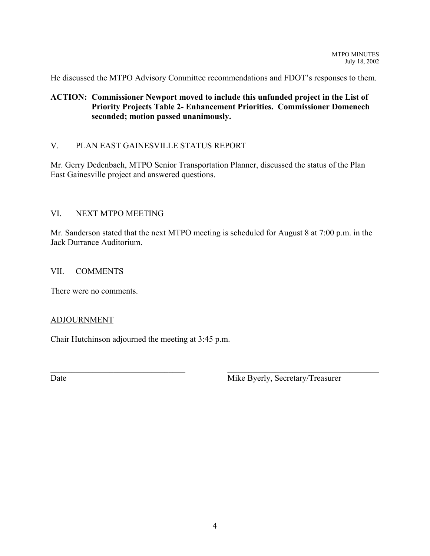He discussed the MTPO Advisory Committee recommendations and FDOT's responses to them.

## **ACTION: Commissioner Newport moved to include this unfunded project in the List of Priority Projects Table 2- Enhancement Priorities. Commissioner Domenech seconded; motion passed unanimously.**

## V. PLAN EAST GAINESVILLE STATUS REPORT

Mr. Gerry Dedenbach, MTPO Senior Transportation Planner, discussed the status of the Plan East Gainesville project and answered questions.

## VI. NEXT MTPO MEETING

Mr. Sanderson stated that the next MTPO meeting is scheduled for August 8 at 7:00 p.m. in the Jack Durrance Auditorium.

 $\mathcal{L}_\text{max}$  , and the contribution of the contribution of the contribution of the contribution of the contribution of the contribution of the contribution of the contribution of the contribution of the contribution of t

#### VII. COMMENTS

There were no comments.

#### ADJOURNMENT

Chair Hutchinson adjourned the meeting at 3:45 p.m.

Date Mike Byerly, Secretary/Treasurer